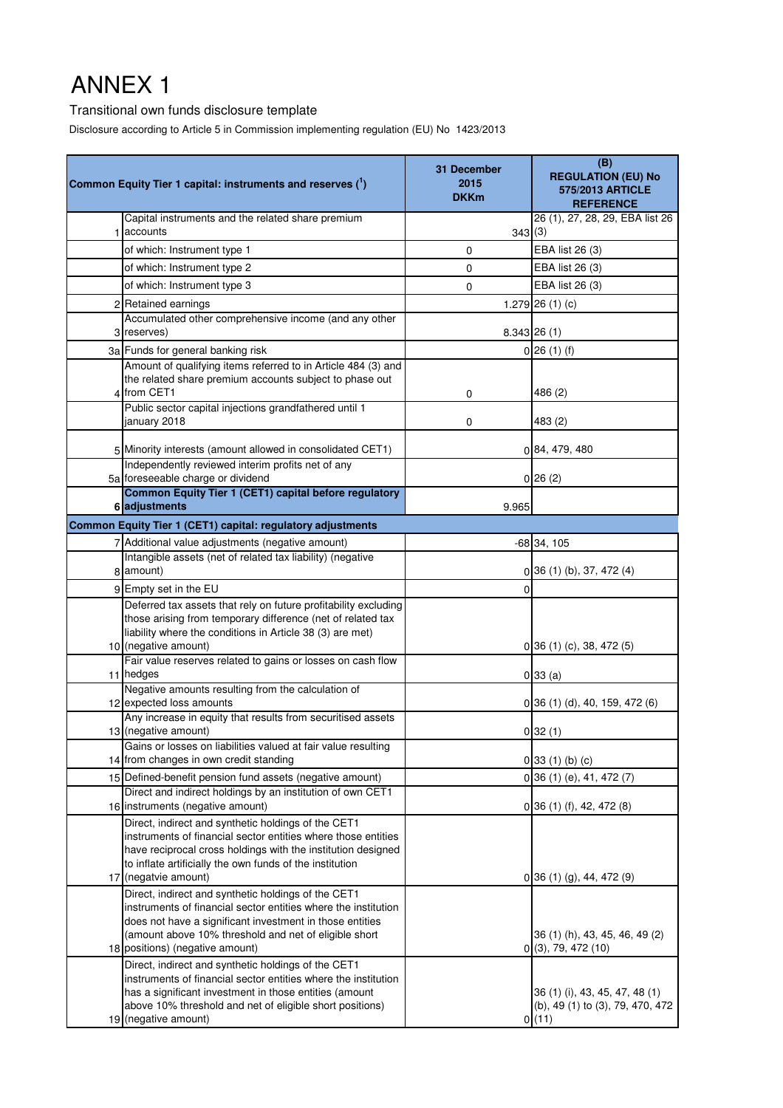# ANNEX 1

### Transitional own funds disclosure template

Disclosure according to Article 5 in Commission implementing regulation (EU) No 1423/2013

| Common Equity Tier 1 capital: instruments and reserves (')                                                                                                                                                                                                               | 31 December<br>2015<br><b>DKKm</b> | (B)<br><b>REGULATION (EU) No</b><br>575/2013 ARTICLE<br><b>REFERENCE</b> |
|--------------------------------------------------------------------------------------------------------------------------------------------------------------------------------------------------------------------------------------------------------------------------|------------------------------------|--------------------------------------------------------------------------|
| Capital instruments and the related share premium<br>1 accounts                                                                                                                                                                                                          |                                    | 26 (1), 27, 28, 29, EBA list 26                                          |
| of which: Instrument type 1                                                                                                                                                                                                                                              | 343(3)<br>0                        | EBA list 26 (3)                                                          |
| of which: Instrument type 2                                                                                                                                                                                                                                              | 0                                  | EBA list 26 (3)                                                          |
| of which: Instrument type 3                                                                                                                                                                                                                                              | 0                                  | EBA list 26 (3)                                                          |
| 2 Retained earnings                                                                                                                                                                                                                                                      |                                    | 1.279 26 $(1)(c)$                                                        |
| Accumulated other comprehensive income (and any other                                                                                                                                                                                                                    |                                    |                                                                          |
| 3 reserves)                                                                                                                                                                                                                                                              |                                    | $8.343$ $26(1)$                                                          |
| 3a Funds for general banking risk                                                                                                                                                                                                                                        |                                    | $0$ 26 (1) (f)                                                           |
| Amount of qualifying items referred to in Article 484 (3) and<br>the related share premium accounts subject to phase out<br>4 from CET1                                                                                                                                  | 0                                  | 486 (2)                                                                  |
| Public sector capital injections grandfathered until 1<br>january 2018                                                                                                                                                                                                   | 0                                  | 483 (2)                                                                  |
| 5 Minority interests (amount allowed in consolidated CET1)                                                                                                                                                                                                               |                                    | 0 84, 479, 480                                                           |
| Independently reviewed interim profits net of any<br>5a foreseeable charge or dividend                                                                                                                                                                                   |                                    | 0 26(2)                                                                  |
| Common Equity Tier 1 (CET1) capital before regulatory<br>6 adjustments                                                                                                                                                                                                   | 9.965                              |                                                                          |
| Common Equity Tier 1 (CET1) capital: regulatory adjustments                                                                                                                                                                                                              |                                    |                                                                          |
| 7 Additional value adjustments (negative amount)                                                                                                                                                                                                                         |                                    | $-68$ 34, 105                                                            |
| Intangible assets (net of related tax liability) (negative<br>8 amount)                                                                                                                                                                                                  |                                    | $0$ 36 (1) (b), 37, 472 (4)                                              |
| 9 Empty set in the EU                                                                                                                                                                                                                                                    | 0                                  |                                                                          |
| Deferred tax assets that rely on future profitability excluding<br>those arising from temporary difference (net of related tax<br>liability where the conditions in Article 38 (3) are met)<br>10 (negative amount)                                                      |                                    | $0$ 36 (1) (c), 38, 472 (5)                                              |
| Fair value reserves related to gains or losses on cash flow<br>11 hedges                                                                                                                                                                                                 |                                    | 0 33(a)                                                                  |
| Negative amounts resulting from the calculation of                                                                                                                                                                                                                       |                                    |                                                                          |
| 12 expected loss amounts                                                                                                                                                                                                                                                 |                                    | $0$ 36 (1) (d), 40, 159, 472 (6)                                         |
| Any increase in equity that results from securitised assets<br>13 (negative amount)                                                                                                                                                                                      |                                    | 0 32(1)                                                                  |
| Gains or losses on liabilities valued at fair value resulting<br>14 from changes in own credit standing                                                                                                                                                                  |                                    | $0$ 33 (1) (b) (c)                                                       |
| 15 Defined-benefit pension fund assets (negative amount)                                                                                                                                                                                                                 |                                    | $0$ 36 (1) (e), 41, 472 (7)                                              |
| Direct and indirect holdings by an institution of own CET1                                                                                                                                                                                                               |                                    |                                                                          |
| 16 instruments (negative amount)                                                                                                                                                                                                                                         |                                    | $0$ 36 (1) (f), 42, 472 (8)                                              |
| Direct, indirect and synthetic holdings of the CET1<br>instruments of financial sector entities where those entities<br>have reciprocal cross holdings with the institution designed<br>to inflate artificially the own funds of the institution<br>17 (negatvie amount) |                                    | $0$ 36 (1) (g), 44, 472 (9)                                              |
| Direct, indirect and synthetic holdings of the CET1<br>instruments of financial sector entities where the institution<br>does not have a significant investment in those entities<br>(amount above 10% threshold and net of eligible short                               |                                    | 36 (1) (h), 43, 45, 46, 49 (2)                                           |
| 18 positions) (negative amount)                                                                                                                                                                                                                                          |                                    | 0(3), 79, 472(10)                                                        |
| Direct, indirect and synthetic holdings of the CET1<br>instruments of financial sector entities where the institution<br>has a significant investment in those entities (amount<br>above 10% threshold and net of eligible short positions)                              |                                    | 36 (1) (i), 43, 45, 47, 48 (1)<br>(b), 49 (1) to (3), 79, 470, 472       |
| 19 (negative amount)                                                                                                                                                                                                                                                     |                                    | 0(11)                                                                    |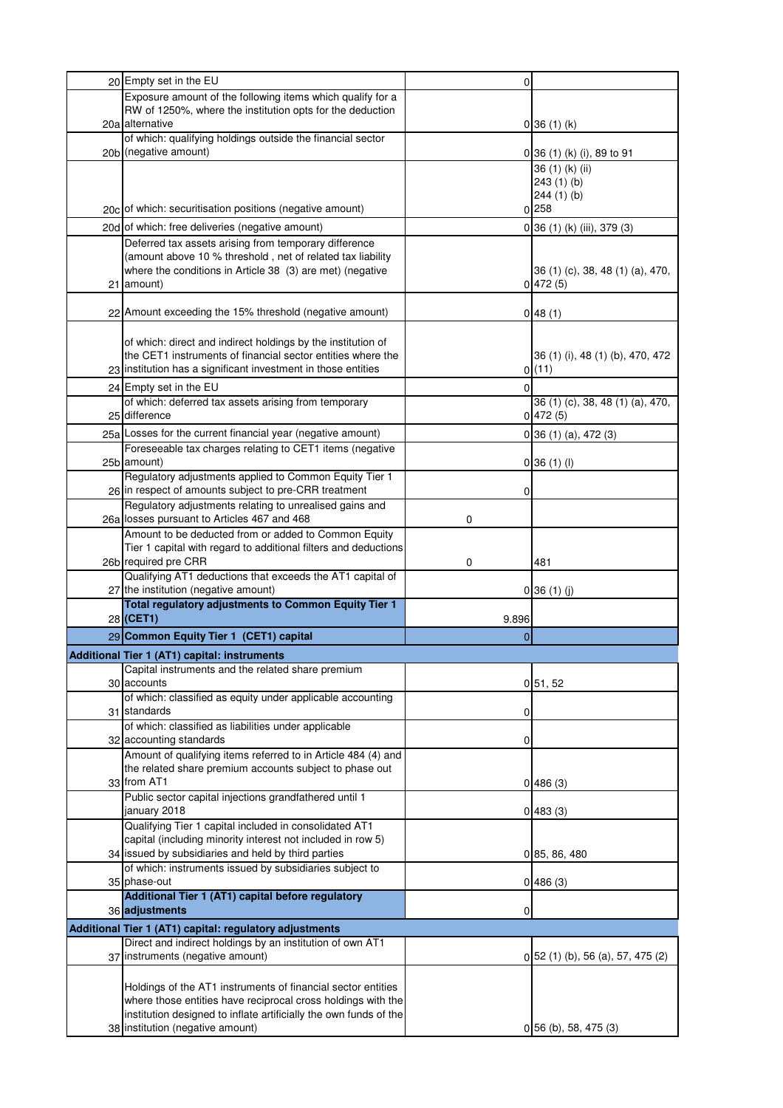| 20 Empty set in the EU                                                                                                   | 0              |                                      |
|--------------------------------------------------------------------------------------------------------------------------|----------------|--------------------------------------|
| Exposure amount of the following items which qualify for a                                                               |                |                                      |
| RW of 1250%, where the institution opts for the deduction                                                                |                |                                      |
| 20a alternative                                                                                                          |                | 0 36(1)(k)                           |
| of which: qualifying holdings outside the financial sector<br>20b (negative amount)                                      |                |                                      |
|                                                                                                                          |                | 0 36 (1) (k) (i), 89 to 91           |
|                                                                                                                          |                | 36 (1) (k) (ii)<br>243(1)(b)         |
|                                                                                                                          |                | 244(1)(b)                            |
| 20c of which: securitisation positions (negative amount)                                                                 |                | 0 258                                |
| 20d of which: free deliveries (negative amount)                                                                          |                | 0 36 (1) (k) (iii), 379 (3)          |
| Deferred tax assets arising from temporary difference                                                                    |                |                                      |
| (amount above 10 % threshold, net of related tax liability                                                               |                |                                      |
| where the conditions in Article 38 (3) are met) (negative                                                                |                | 36 (1) (c), 38, 48 (1) (a), 470,     |
| 21 amount)                                                                                                               |                | 0 472(5)                             |
|                                                                                                                          |                |                                      |
| 22 Amount exceeding the 15% threshold (negative amount)                                                                  |                | 048(1)                               |
|                                                                                                                          |                |                                      |
| of which: direct and indirect holdings by the institution of                                                             |                |                                      |
| the CET1 instruments of financial sector entities where the                                                              |                | 36 (1) (i), 48 (1) (b), 470, 472     |
| 23 institution has a significant investment in those entities                                                            |                | 0(11)                                |
| 24 Empty set in the EU                                                                                                   | $\overline{0}$ |                                      |
| of which: deferred tax assets arising from temporary                                                                     |                | 36 (1) (c), 38, 48 (1) (a), 470,     |
| 25 difference                                                                                                            |                | 0 472(5)                             |
| 25a Losses for the current financial year (negative amount)                                                              |                | $0$ 36 (1) (a), 472 (3)              |
| Foreseeable tax charges relating to CET1 items (negative                                                                 |                |                                      |
| 25b amount)                                                                                                              |                | 0 36(1)(1)                           |
| Regulatory adjustments applied to Common Equity Tier 1                                                                   |                |                                      |
| 26 in respect of amounts subject to pre-CRR treatment<br>Regulatory adjustments relating to unrealised gains and         | 0              |                                      |
| 26a losses pursuant to Articles 467 and 468                                                                              | 0              |                                      |
| Amount to be deducted from or added to Common Equity                                                                     |                |                                      |
| Tier 1 capital with regard to additional filters and deductions                                                          |                |                                      |
| 26b required pre CRR                                                                                                     | 0              | 481                                  |
| Qualifying AT1 deductions that exceeds the AT1 capital of                                                                |                |                                      |
| 27 the institution (negative amount)                                                                                     |                | 0 36(1)(j)                           |
| Total regulatory adjustments to Common Equity Tier 1                                                                     |                |                                      |
| 28 (CET1)                                                                                                                | 9.896          |                                      |
| 29 Common Equity Tier 1 (CET1) capital                                                                                   | $\mathbf{0}$   |                                      |
| Additional Tier 1 (AT1) capital: instruments                                                                             |                |                                      |
| Capital instruments and the related share premium                                                                        |                |                                      |
| 30 accounts                                                                                                              |                | 0, 51, 52                            |
| of which: classified as equity under applicable accounting<br>31 standards                                               |                |                                      |
| of which: classified as liabilities under applicable                                                                     | 0              |                                      |
|                                                                                                                          |                |                                      |
|                                                                                                                          |                |                                      |
| 32 accounting standards                                                                                                  | 0              |                                      |
| Amount of qualifying items referred to in Article 484 (4) and<br>the related share premium accounts subject to phase out |                |                                      |
| 33 from AT1                                                                                                              |                | 0 486(3)                             |
| Public sector capital injections grandfathered until 1                                                                   |                |                                      |
| january 2018                                                                                                             |                | 0483(3)                              |
| Qualifying Tier 1 capital included in consolidated AT1                                                                   |                |                                      |
| capital (including minority interest not included in row 5)                                                              |                |                                      |
| 34 issued by subsidiaries and held by third parties                                                                      |                | 0 85, 86, 480                        |
| of which: instruments issued by subsidiaries subject to                                                                  |                |                                      |
| 35 phase-out                                                                                                             |                | 0 486(3)                             |
| Additional Tier 1 (AT1) capital before regulatory<br>36 adjustments                                                      |                |                                      |
|                                                                                                                          | 0              |                                      |
| Additional Tier 1 (AT1) capital: regulatory adjustments                                                                  |                |                                      |
| Direct and indirect holdings by an institution of own AT1<br>37 instruments (negative amount)                            |                |                                      |
|                                                                                                                          |                | $0\,52$ (1) (b), 56 (a), 57, 475 (2) |
| Holdings of the AT1 instruments of financial sector entities                                                             |                |                                      |
| where those entities have reciprocal cross holdings with the                                                             |                |                                      |
| institution designed to inflate artificially the own funds of the<br>38 institution (negative amount)                    |                | $0$ 56 (b), 58, 475 (3)              |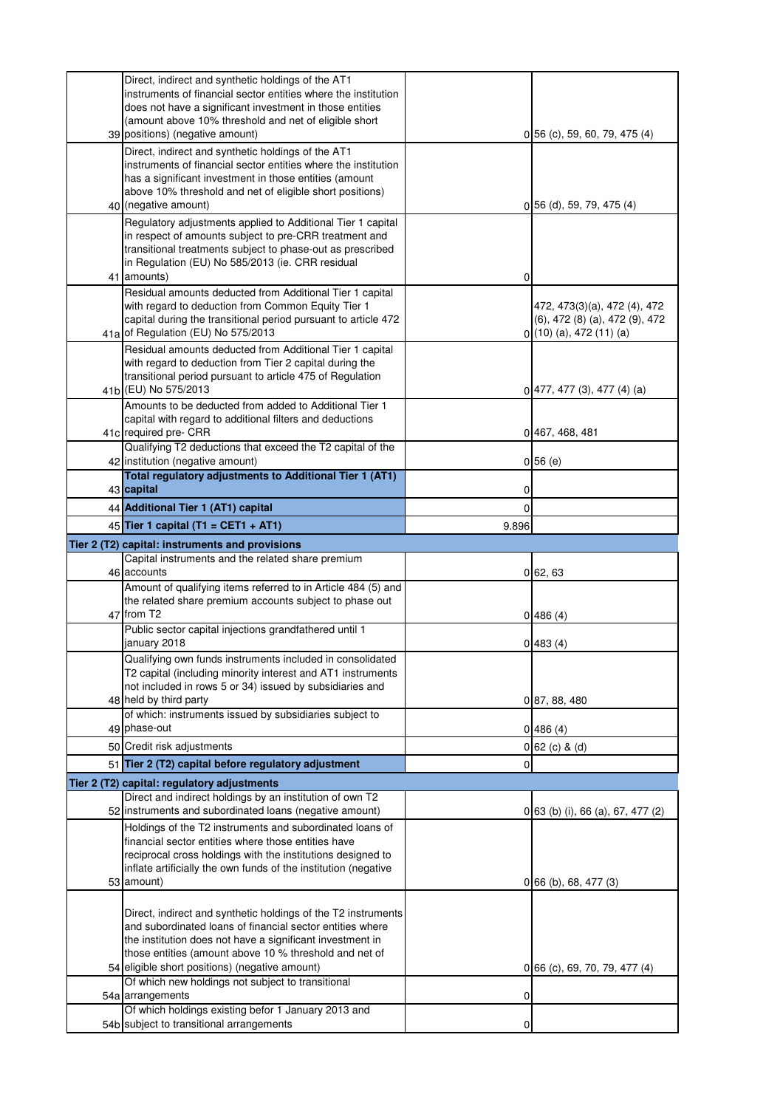| Direct, indirect and synthetic holdings of the AT1<br>instruments of financial sector entities where the institution       |                |                                   |
|----------------------------------------------------------------------------------------------------------------------------|----------------|-----------------------------------|
| does not have a significant investment in those entities                                                                   |                |                                   |
| (amount above 10% threshold and net of eligible short<br>39 positions) (negative amount)                                   |                | $0$ 56 (c), 59, 60, 79, 475 (4)   |
| Direct, indirect and synthetic holdings of the AT1                                                                         |                |                                   |
| instruments of financial sector entities where the institution                                                             |                |                                   |
| has a significant investment in those entities (amount                                                                     |                |                                   |
| above 10% threshold and net of eligible short positions)<br>40 (negative amount)                                           |                | 0 56 (d), 59, 79, 475 (4)         |
| Regulatory adjustments applied to Additional Tier 1 capital                                                                |                |                                   |
| in respect of amounts subject to pre-CRR treatment and                                                                     |                |                                   |
| transitional treatments subject to phase-out as prescribed                                                                 |                |                                   |
| in Regulation (EU) No 585/2013 (ie. CRR residual<br>41 amounts)                                                            | 0              |                                   |
| Residual amounts deducted from Additional Tier 1 capital                                                                   |                |                                   |
| with regard to deduction from Common Equity Tier 1                                                                         |                | 472, 473(3)(a), 472 (4), 472      |
| capital during the transitional period pursuant to article 472                                                             |                | (6), 472 (8) (a), 472 (9), 472    |
| 41a of Regulation (EU) No 575/2013<br>Residual amounts deducted from Additional Tier 1 capital                             |                | $0(10)(a)$ , 472 (11) (a)         |
| with regard to deduction from Tier 2 capital during the                                                                    |                |                                   |
| transitional period pursuant to article 475 of Regulation                                                                  |                |                                   |
| 41b (EU) No 575/2013<br>Amounts to be deducted from added to Additional Tier 1                                             |                | $0\,$  477, 477 (3), 477 (4) (a)  |
| capital with regard to additional filters and deductions                                                                   |                |                                   |
| 41c required pre- CRR                                                                                                      |                | 0 467, 468, 481                   |
| Qualifying T2 deductions that exceed the T2 capital of the<br>42 institution (negative amount)                             |                | 0 56(e)                           |
| Total regulatory adjustments to Additional Tier 1 (AT1)                                                                    |                |                                   |
| 43 capital<br>44 Additional Tier 1 (AT1) capital                                                                           | 0              |                                   |
| 45 Tier 1 capital (T1 = CET1 + AT1)                                                                                        | $\overline{0}$ |                                   |
| Tier 2 (T2) capital: instruments and provisions                                                                            | 9.896          |                                   |
|                                                                                                                            |                |                                   |
|                                                                                                                            |                |                                   |
| Capital instruments and the related share premium<br>46 accounts                                                           |                | 062,63                            |
| Amount of qualifying items referred to in Article 484 (5) and                                                              |                |                                   |
| the related share premium accounts subject to phase out<br>47 from T2                                                      |                |                                   |
| Public sector capital injections grandfathered until 1                                                                     |                | 0 486(4)                          |
| january 2018                                                                                                               |                | 0 483(4)                          |
| Qualifying own funds instruments included in consolidated                                                                  |                |                                   |
| T2 capital (including minority interest and AT1 instruments<br>not included in rows 5 or 34) issued by subsidiaries and    |                |                                   |
| 48 held by third party                                                                                                     |                | 0 87, 88, 480                     |
| of which: instruments issued by subsidiaries subject to                                                                    |                |                                   |
| 49 phase-out                                                                                                               |                | 0 486(4)                          |
| 50 Credit risk adjustments<br>51 Tier 2 (T2) capital before regulatory adjustment                                          | 0              | $0 62$ (c) & (d)                  |
| Tier 2 (T2) capital: regulatory adjustments                                                                                |                |                                   |
| Direct and indirect holdings by an institution of own T2                                                                   |                |                                   |
| 52 instruments and subordinated loans (negative amount)                                                                    |                | 0 63 (b) (i), 66 (a), 67, 477 (2) |
| Holdings of the T2 instruments and subordinated loans of                                                                   |                |                                   |
| financial sector entities where those entities have<br>reciprocal cross holdings with the institutions designed to         |                |                                   |
| inflate artificially the own funds of the institution (negative                                                            |                |                                   |
| 53 amount)                                                                                                                 |                | $0$ 66 (b), 68, 477 (3)           |
|                                                                                                                            |                |                                   |
| Direct, indirect and synthetic holdings of the T2 instruments<br>and subordinated loans of financial sector entities where |                |                                   |
| the institution does not have a significant investment in                                                                  |                |                                   |
| those entities (amount above 10 % threshold and net of                                                                     |                |                                   |
| 54 eligible short positions) (negative amount)<br>Of which new holdings not subject to transitional                        |                | 0 66 (c), 69, 70, 79, 477 (4)     |
| 54a arrangements                                                                                                           | 0              |                                   |
| Of which holdings existing befor 1 January 2013 and<br>54b subject to transitional arrangements                            | 0              |                                   |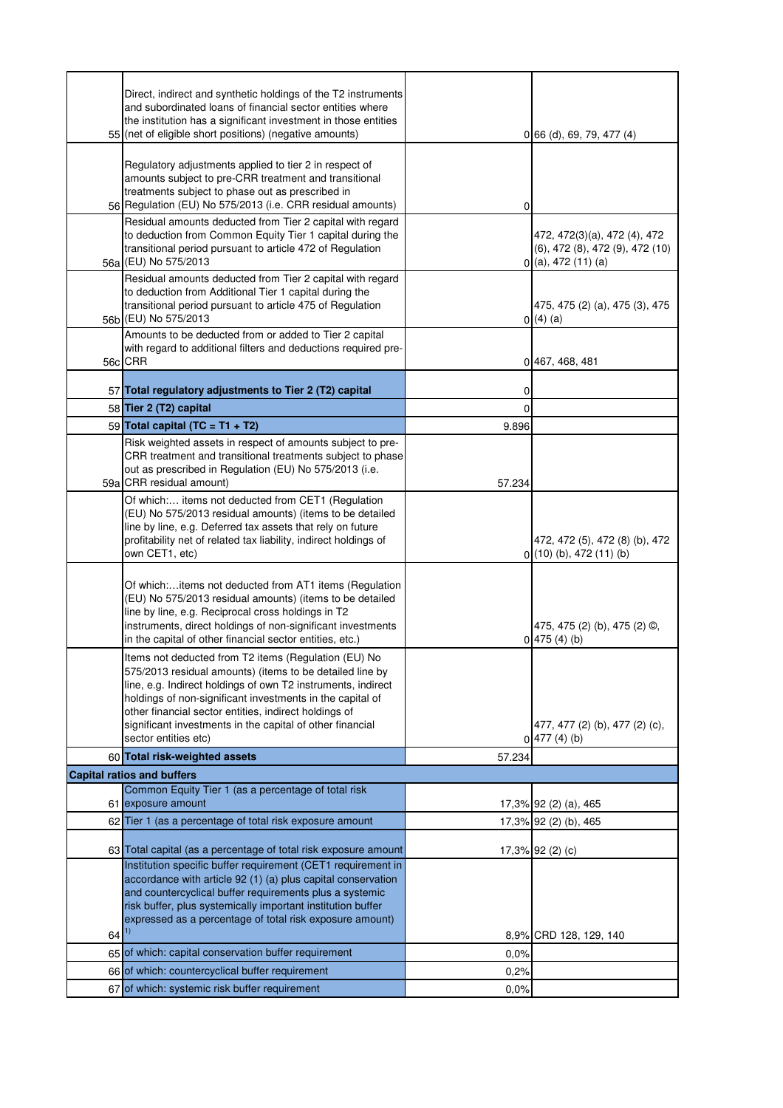|    | Direct, indirect and synthetic holdings of the T2 instruments<br>and subordinated loans of financial sector entities where<br>the institution has a significant investment in those entities<br>55 (net of eligible short positions) (negative amounts)                                                                                                                                     |        | 0[66(d), 69, 79, 477(4)]                                                                 |
|----|---------------------------------------------------------------------------------------------------------------------------------------------------------------------------------------------------------------------------------------------------------------------------------------------------------------------------------------------------------------------------------------------|--------|------------------------------------------------------------------------------------------|
|    | Regulatory adjustments applied to tier 2 in respect of<br>amounts subject to pre-CRR treatment and transitional<br>treatments subject to phase out as prescribed in<br>56 Regulation (EU) No 575/2013 (i.e. CRR residual amounts)                                                                                                                                                           | 0      |                                                                                          |
|    | Residual amounts deducted from Tier 2 capital with regard<br>to deduction from Common Equity Tier 1 capital during the<br>transitional period pursuant to article 472 of Regulation<br>56a (EU) No 575/2013                                                                                                                                                                                 |        | 472, 472(3)(a), 472 (4), 472<br>(6), 472 (8), 472 (9), 472 (10)<br>$0($ a), 472 (11) (a) |
|    | Residual amounts deducted from Tier 2 capital with regard<br>to deduction from Additional Tier 1 capital during the<br>transitional period pursuant to article 475 of Regulation<br>56b (EU) No 575/2013                                                                                                                                                                                    |        | 475, 475 (2) (a), 475 (3), 475<br>0(4)(a)                                                |
|    | Amounts to be deducted from or added to Tier 2 capital<br>with regard to additional filters and deductions required pre-<br>56c CRR                                                                                                                                                                                                                                                         |        | 0 467, 468, 481                                                                          |
|    | 57 Total regulatory adjustments to Tier 2 (T2) capital                                                                                                                                                                                                                                                                                                                                      | 0      |                                                                                          |
|    | 58 Tier 2 (T2) capital                                                                                                                                                                                                                                                                                                                                                                      | 0      |                                                                                          |
|    | 59 Total capital (TC = T1 + T2)                                                                                                                                                                                                                                                                                                                                                             | 9.896  |                                                                                          |
|    | Risk weighted assets in respect of amounts subject to pre-                                                                                                                                                                                                                                                                                                                                  |        |                                                                                          |
|    | CRR treatment and transitional treatments subject to phase<br>out as prescribed in Regulation (EU) No 575/2013 (i.e.<br>59a CRR residual amount)                                                                                                                                                                                                                                            | 57.234 |                                                                                          |
|    | Of which: items not deducted from CET1 (Regulation<br>(EU) No 575/2013 residual amounts) (items to be detailed<br>line by line, e.g. Deferred tax assets that rely on future<br>profitability net of related tax liability, indirect holdings of<br>own CET1, etc)                                                                                                                          |        | 472, 472 (5), 472 (8) (b), 472<br>$0(10)(b)$ , 472 $(11)(b)$                             |
|    | Of which:items not deducted from AT1 items (Regulation<br>(EU) No 575/2013 residual amounts) (items to be detailed<br>line by line, e.g. Reciprocal cross holdings in T2<br>instruments, direct holdings of non-significant investments<br>in the capital of other financial sector entities, etc.)                                                                                         |        | 475, 475 (2) (b), 475 (2) ©,<br>0 475(4)(b)                                              |
|    | Items not deducted from T2 items (Regulation (EU) No<br>575/2013 residual amounts) (items to be detailed line by<br>line, e.g. Indirect holdings of own T2 instruments, indirect<br>holdings of non-significant investments in the capital of<br>other financial sector entities, indirect holdings of<br>significant investments in the capital of other financial<br>sector entities etc) |        | 477, 477 (2) (b), 477 (2) (c),<br>0 477(4)(b)                                            |
|    | 60 Total risk-weighted assets                                                                                                                                                                                                                                                                                                                                                               | 57.234 |                                                                                          |
|    | <b>Capital ratios and buffers</b>                                                                                                                                                                                                                                                                                                                                                           |        |                                                                                          |
|    | Common Equity Tier 1 (as a percentage of total risk<br>61 exposure amount                                                                                                                                                                                                                                                                                                                   |        | 17,3% 92 (2) (a), 465                                                                    |
|    | 62 Tier 1 (as a percentage of total risk exposure amount                                                                                                                                                                                                                                                                                                                                    |        | 17,3% 92 (2) (b), 465                                                                    |
|    | 63 Total capital (as a percentage of total risk exposure amount                                                                                                                                                                                                                                                                                                                             |        | 17,3% 92 (2) (c)                                                                         |
| 64 | Institution specific buffer requirement (CET1 requirement in<br>accordance with article 92 (1) (a) plus capital conservation<br>and countercyclical buffer requirements plus a systemic<br>risk buffer, plus systemically important institution buffer<br>expressed as a percentage of total risk exposure amount)<br>1)                                                                    |        | 8,9% CRD 128, 129, 140                                                                   |
|    | 65 of which: capital conservation buffer requirement                                                                                                                                                                                                                                                                                                                                        | 0,0%   |                                                                                          |
|    | 66 of which: countercyclical buffer requirement                                                                                                                                                                                                                                                                                                                                             |        |                                                                                          |
|    |                                                                                                                                                                                                                                                                                                                                                                                             | 0,2%   |                                                                                          |
|    | 67 of which: systemic risk buffer requirement                                                                                                                                                                                                                                                                                                                                               | 0,0%   |                                                                                          |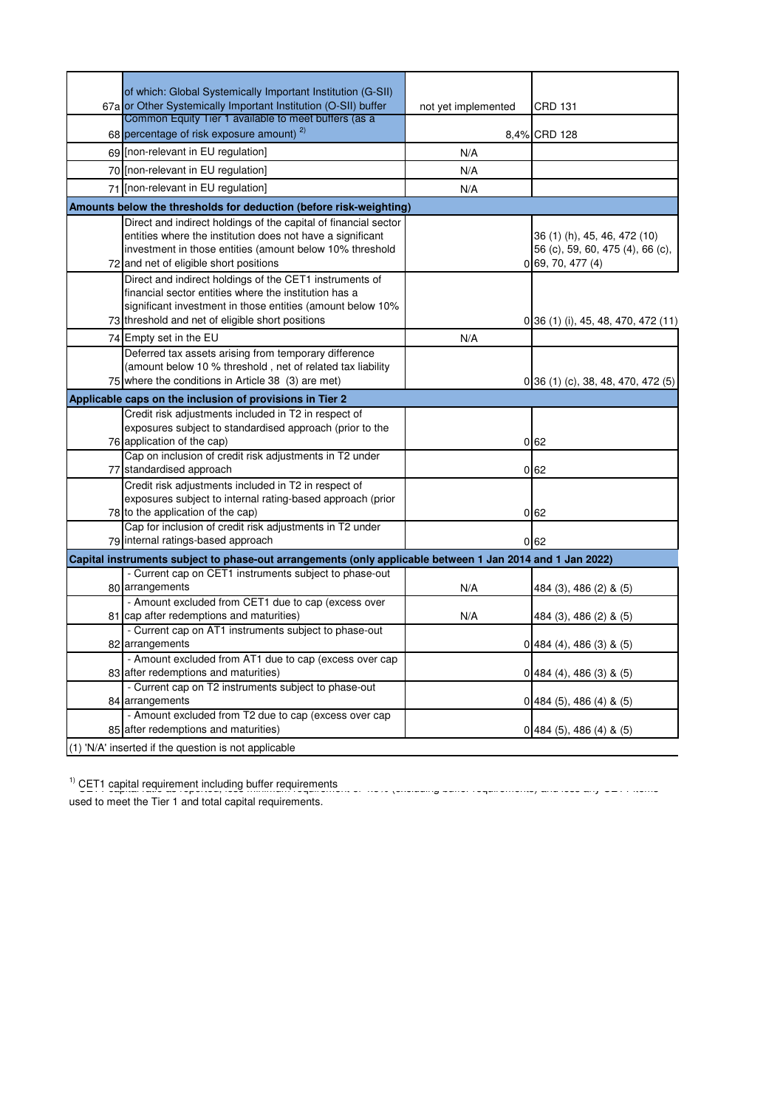| of which: Global Systemically Important Institution (G-SII)                                               |                     |                                     |  |
|-----------------------------------------------------------------------------------------------------------|---------------------|-------------------------------------|--|
| 67a or Other Systemically Important Institution (O-SII) buffer                                            | not yet implemented | <b>CRD 131</b>                      |  |
| Common Equity Tier 1 available to meet buffers (as a                                                      |                     |                                     |  |
| 68 percentage of risk exposure amount) <sup>2)</sup>                                                      |                     | 8,4% CRD 128                        |  |
| 69 [non-relevant in EU regulation]                                                                        | N/A                 |                                     |  |
| 70 [non-relevant in EU regulation]                                                                        | N/A                 |                                     |  |
| 71 [non-relevant in EU regulation]                                                                        | N/A                 |                                     |  |
| Amounts below the thresholds for deduction (before risk-weighting)                                        |                     |                                     |  |
| Direct and indirect holdings of the capital of financial sector                                           |                     |                                     |  |
| entities where the institution does not have a significant                                                |                     | 36 (1) (h), 45, 46, 472 (10)        |  |
| investment in those entities (amount below 10% threshold                                                  |                     | 56 (c), 59, 60, 475 (4), 66 (c),    |  |
| 72 and net of eligible short positions                                                                    |                     | 0 69, 70, 477(4)                    |  |
| Direct and indirect holdings of the CET1 instruments of                                                   |                     |                                     |  |
| financial sector entities where the institution has a                                                     |                     |                                     |  |
| significant investment in those entities (amount below 10%                                                |                     |                                     |  |
| 73 threshold and net of eligible short positions                                                          |                     | 0 36 (1) (i), 45, 48, 470, 472 (11) |  |
| 74 Empty set in the EU                                                                                    | N/A                 |                                     |  |
| Deferred tax assets arising from temporary difference                                                     |                     |                                     |  |
| (amount below 10 % threshold, net of related tax liability                                                |                     |                                     |  |
| 75 where the conditions in Article 38 (3) are met)                                                        |                     | 0 36 (1) (c), 38, 48, 470, 472 (5)  |  |
| Applicable caps on the inclusion of provisions in Tier 2                                                  |                     |                                     |  |
| Credit risk adjustments included in T2 in respect of                                                      |                     |                                     |  |
| exposures subject to standardised approach (prior to the                                                  |                     |                                     |  |
| 76 application of the cap)                                                                                |                     | 0 <sub>62</sub>                     |  |
| Cap on inclusion of credit risk adjustments in T2 under                                                   |                     |                                     |  |
| 77 standardised approach                                                                                  |                     | 0 <sub>62</sub>                     |  |
| Credit risk adjustments included in T2 in respect of                                                      |                     |                                     |  |
| exposures subject to internal rating-based approach (prior                                                |                     |                                     |  |
| 78 to the application of the cap)                                                                         |                     | 062                                 |  |
| Cap for inclusion of credit risk adjustments in T2 under                                                  |                     |                                     |  |
| 79 internal ratings-based approach                                                                        |                     | 0 <sub>62</sub>                     |  |
| Capital instruments subject to phase-out arrangements (only applicable between 1 Jan 2014 and 1 Jan 2022) |                     |                                     |  |
| - Current cap on CET1 instruments subject to phase-out                                                    |                     |                                     |  |
| 80 arrangements                                                                                           | N/A                 | 484 (3), 486 (2) & (5)              |  |
| - Amount excluded from CET1 due to cap (excess over                                                       |                     |                                     |  |
| 81 cap after redemptions and maturities)                                                                  | N/A                 | 484 (3), 486 (2) & (5)              |  |
| - Current cap on AT1 instruments subject to phase-out                                                     |                     |                                     |  |
| 82 arrangements                                                                                           |                     | 0 484 (4), 486 (3) & (5)            |  |
| - Amount excluded from AT1 due to cap (excess over cap                                                    |                     |                                     |  |
| 83 after redemptions and maturities)                                                                      |                     | 0[484(4), 486(3) 8(5)]              |  |
| - Current cap on T2 instruments subject to phase-out                                                      |                     |                                     |  |
| 84 arrangements                                                                                           |                     | $0$ 484 (5), 486 (4) & (5)          |  |
| - Amount excluded from T2 due to cap (excess over cap                                                     |                     |                                     |  |
| 85 after redemptions and maturities)                                                                      |                     | $0\,$   484 (5), 486 (4) & (5)      |  |
| (1) 'N/A' inserted if the question is not applicable                                                      |                     |                                     |  |

1) CET1 capital requirement including buffer requirements CET1 capital requirements capital ratio as reported of 4.5% (excluding buffer requirements) and less any CET1 capital requirements including buffer requirements and

used to meet the Tier 1 and total capital requirements.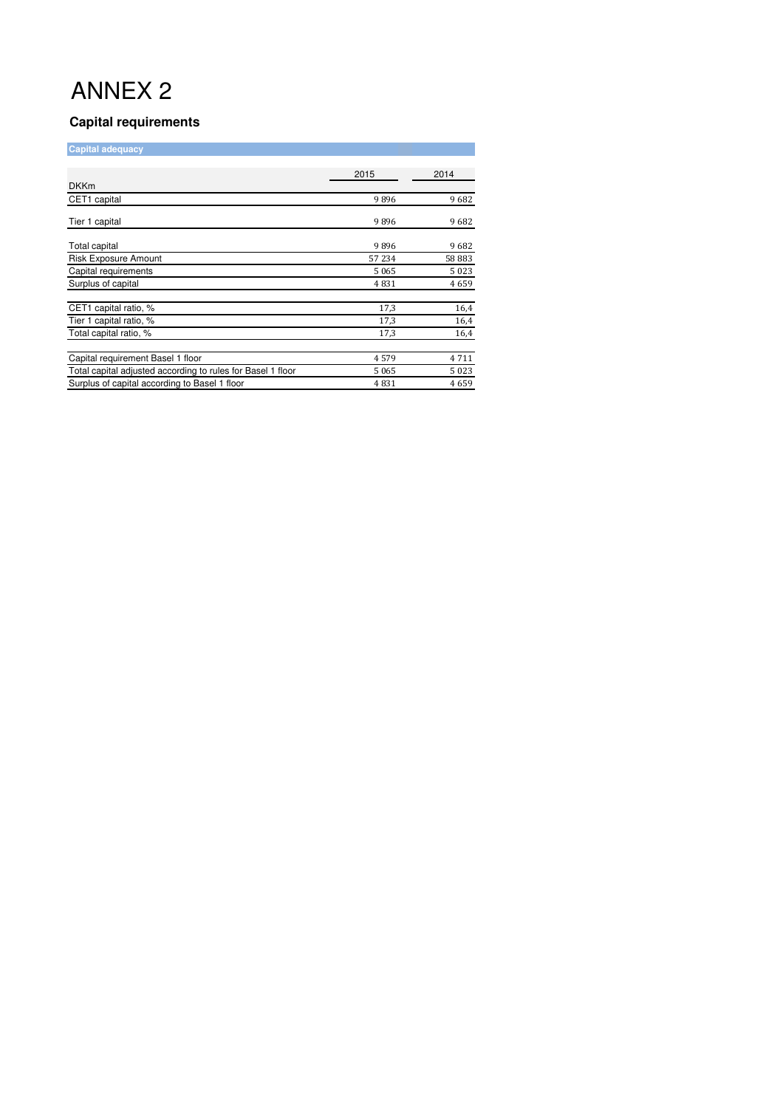# ANNEX 2

### **Capital requirements**

| <b>Capital adequacy</b>                                     |       |       |
|-------------------------------------------------------------|-------|-------|
| <b>DKKm</b>                                                 | 2015  | 2014  |
| CET1 capital                                                | 9896  | 9682  |
| Tier 1 capital                                              | 9896  | 9682  |
| Total capital                                               | 9896  | 9682  |
| <b>Risk Exposure Amount</b>                                 | 57234 | 58883 |
| Capital requirements                                        | 5065  | 5023  |
| Surplus of capital                                          | 4831  | 4659  |
| CET1 capital ratio, %                                       | 17,3  | 16,4  |
| Tier 1 capital ratio, %                                     | 17,3  | 16,4  |
| Total capital ratio, %                                      | 17,3  | 16,4  |
| Capital requirement Basel 1 floor                           | 4579  | 4711  |
| Total capital adjusted according to rules for Basel 1 floor | 5065  | 5023  |
| Surplus of capital according to Basel 1 floor               | 4831  | 4659  |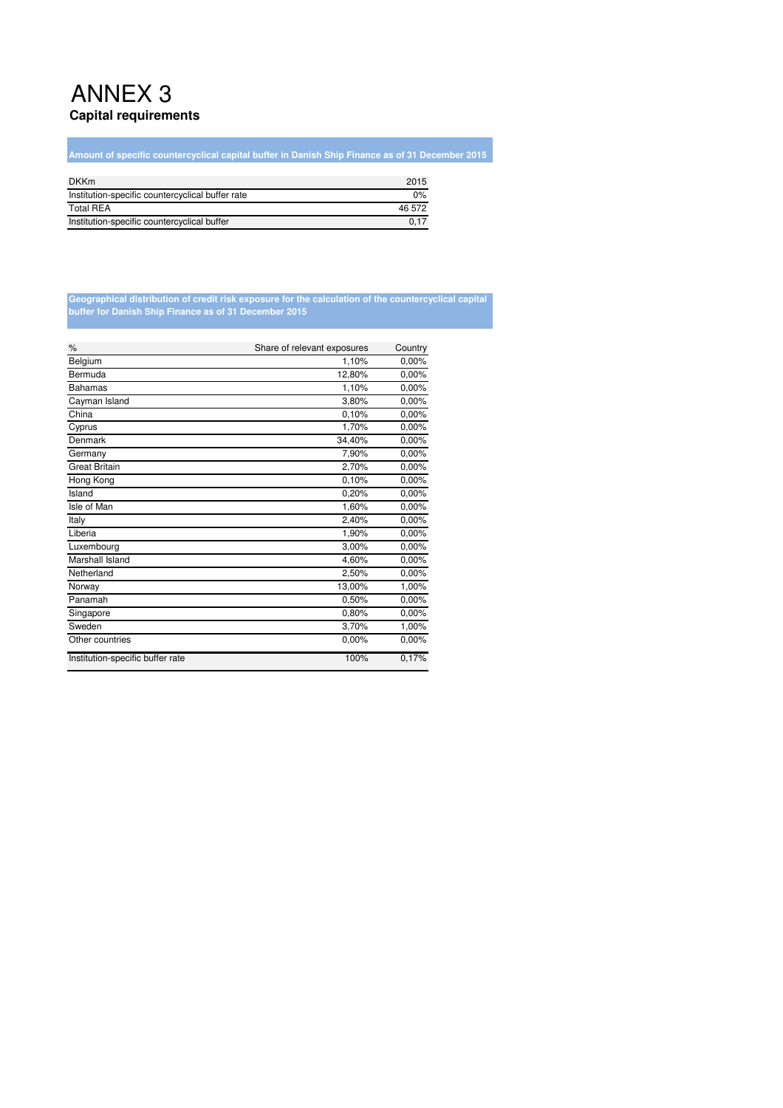## ANNEX 3 **Capital requirements**

**Amount of specific countercyclical capital buffer in Danish Ship Finance as of 31 December 2015**

| <b>DKKm</b>                                      | 2015   |
|--------------------------------------------------|--------|
| Institution-specific countercyclical buffer rate | 0%     |
| <b>Total REA</b>                                 | 46 572 |
| Institution-specific countercyclical buffer      | 0.17   |

#### **Geographical distribution of credit risk exposure for the calculation of the countercyclical capital buffer for Danish Ship Finance as of 31 December 2015**

| $\%$                             | Share of relevant exposures | Country |
|----------------------------------|-----------------------------|---------|
| Belgium                          | 1,10%                       | 0.00%   |
| Bermuda                          | 12,80%                      | 0,00%   |
| <b>Bahamas</b>                   | 1,10%                       | 0,00%   |
| Cayman Island                    | 3,80%                       | 0.00%   |
| China                            | 0.10%                       | 0,00%   |
| Cyprus                           | 1,70%                       | 0,00%   |
| Denmark                          | 34,40%                      | 0,00%   |
| Germany                          | 7,90%                       | 0,00%   |
| <b>Great Britain</b>             | 2,70%                       | 0,00%   |
| Hong Kong                        | 0.10%                       | 0,00%   |
| Island                           | 0,20%                       | 0,00%   |
| Isle of Man                      | 1,60%                       | 0.00%   |
| Italy                            | 2,40%                       | 0.00%   |
| Liberia                          | 1,90%                       | 0,00%   |
| Luxembourg                       | 3,00%                       | 0.00%   |
| Marshall Island                  | 4,60%                       | 0,00%   |
| Netherland                       | 2,50%                       | 0,00%   |
| Norway                           | 13,00%                      | 1,00%   |
| Panamah                          | 0,50%                       | 0,00%   |
| Singapore                        | 0,80%                       | 0,00%   |
| Sweden                           | 3,70%                       | 1,00%   |
| Other countries                  | 0.00%                       | 0,00%   |
| Institution-specific buffer rate | 100%                        | 0,17%   |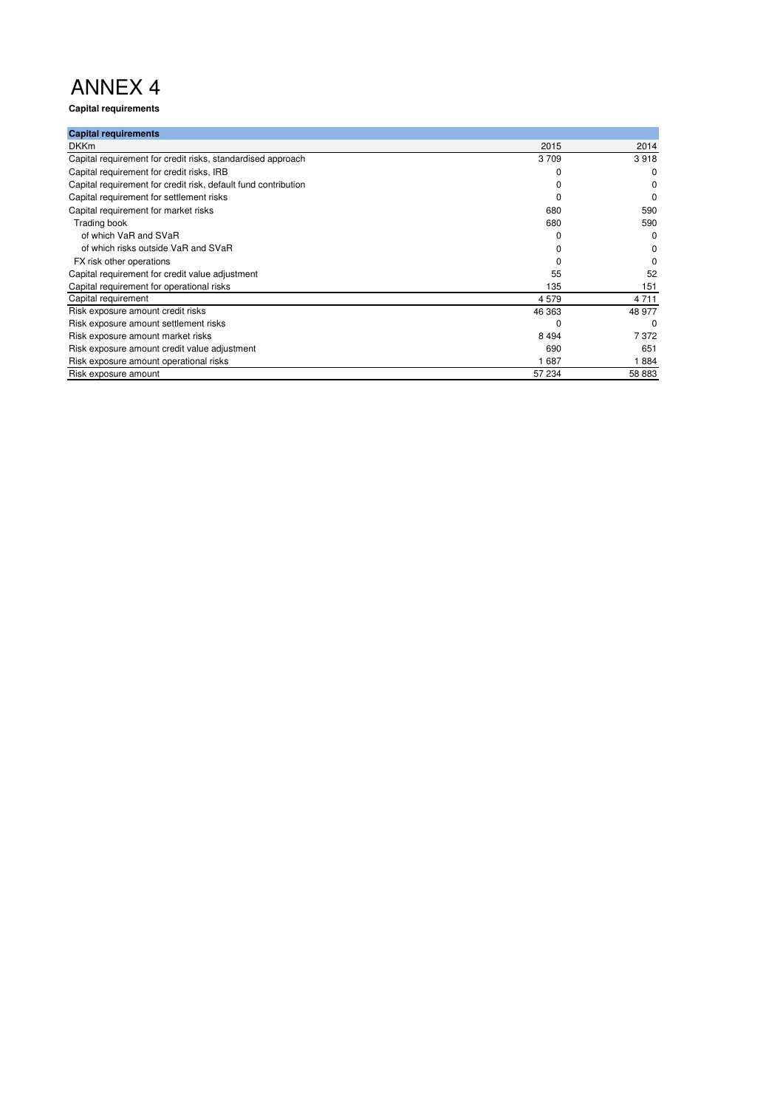# ANNEX 4

**Capital requirements**

| <b>Capital requirements</b>                                    |         |          |
|----------------------------------------------------------------|---------|----------|
| <b>DKKm</b>                                                    | 2015    | 2014     |
| Capital requirement for credit risks, standardised approach    | 3709    | 3918     |
| Capital requirement for credit risks, IRB                      |         | 0        |
| Capital requirement for credit risk, default fund contribution |         | 0        |
| Capital requirement for settlement risks                       |         | 0        |
| Capital requirement for market risks                           | 680     | 590      |
| Trading book                                                   | 680     | 590      |
| of which VaR and SVaR                                          |         | $\Omega$ |
| of which risks outside VaR and SVaR                            |         | 0        |
| FX risk other operations                                       |         |          |
| Capital requirement for credit value adjustment                | 55      | 52       |
| Capital requirement for operational risks                      | 135     | 151      |
| Capital requirement                                            | 4579    | 4 7 1 1  |
| Risk exposure amount credit risks                              | 46 363  | 48 977   |
| Risk exposure amount settlement risks                          |         | 0        |
| Risk exposure amount market risks                              | 8 4 9 4 | 7372     |
| Risk exposure amount credit value adjustment                   | 690     | 651      |
| Risk exposure amount operational risks                         | 1687    | 1884     |
| Risk exposure amount                                           | 57 234  | 58 883   |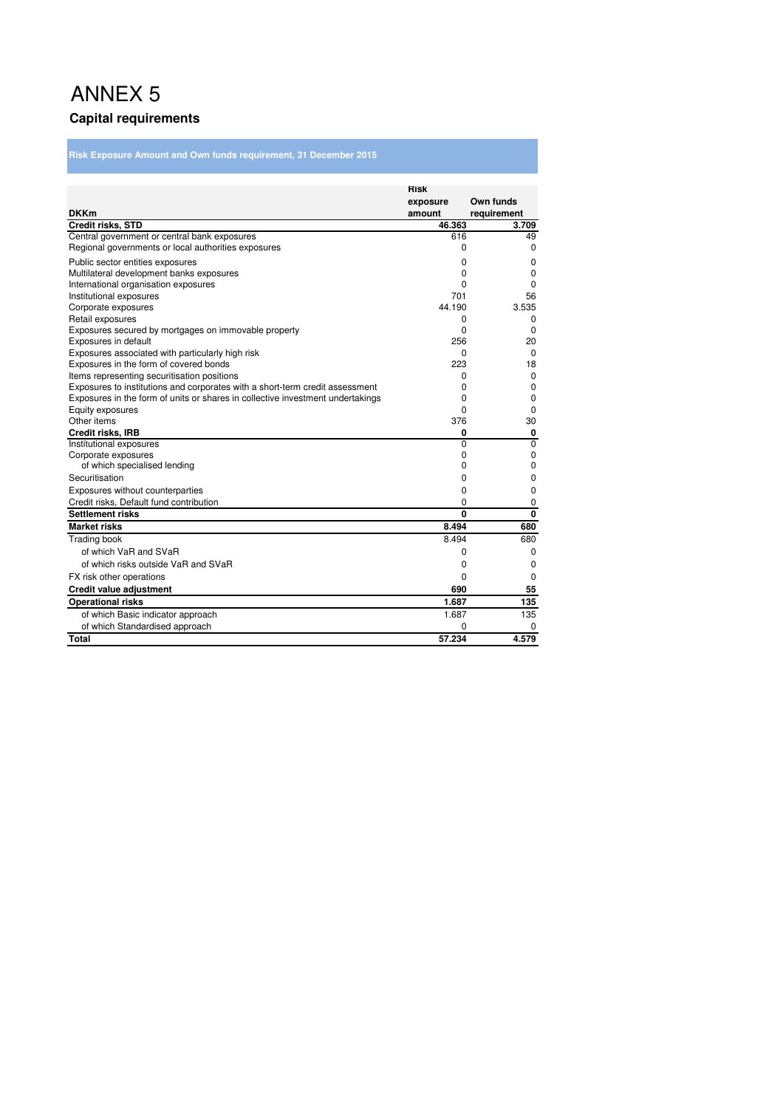## ANNEX 5 **Capital requirements**

**Risk Exposure Amount and Own funds requirement, 31 December 2015**

|                                                                                | <b>Risk</b> |                |
|--------------------------------------------------------------------------------|-------------|----------------|
|                                                                                | exposure    | Own funds      |
| <b>DKKm</b>                                                                    | amount      | requirement    |
| <b>Credit risks, STD</b>                                                       | 46.363      | 3.709          |
| Central government or central bank exposures                                   | 616         | 49             |
| Regional governments or local authorities exposures                            | 0           | 0              |
| Public sector entities exposures                                               | 0           | 0              |
| Multilateral development banks exposures                                       | 0           | $\mathbf 0$    |
| International organisation exposures                                           | 0           | $\mathbf 0$    |
| Institutional exposures                                                        | 701         | 56             |
| Corporate exposures                                                            | 44.190      | 3.535          |
| Retail exposures                                                               | 0           | 0              |
| Exposures secured by mortgages on immovable property                           | $\Omega$    | $\Omega$       |
| Exposures in default                                                           | 256         | 20             |
| Exposures associated with particularly high risk                               | $\Omega$    | $\Omega$       |
| Exposures in the form of covered bonds                                         | 223         | 18             |
| Items representing securitisation positions                                    | 0           | 0              |
| Exposures to institutions and corporates with a short-term credit assessment   | 0           | 0              |
| Exposures in the form of units or shares in collective investment undertakings | 0           | $\mathbf 0$    |
| Equity exposures                                                               | $\Omega$    | 0              |
| Other items                                                                    | 376         | 30             |
| Credit risks, IRB                                                              | 0           | 0              |
| Institutional exposures                                                        | 0           | $\overline{0}$ |
| Corporate exposures                                                            | 0           | $\mathbf 0$    |
| of which specialised lending                                                   | 0           | 0              |
| Securitisation                                                                 | 0           | 0              |
| Exposures without counterparties                                               | 0           | 0              |
| Credit risks, Default fund contribution                                        | 0           | 0              |
| <b>Settlement risks</b>                                                        | 0           | $\mathbf{0}$   |
| <b>Market risks</b>                                                            | 8.494       | 680            |
| Trading book                                                                   | 8.494       | 680            |
| of which VaR and SVaR                                                          | 0           | $\mathbf 0$    |
| of which risks outside VaR and SVaR                                            | 0           | 0              |
| FX risk other operations                                                       | 0           | $\Omega$       |
| <b>Credit value adjustment</b>                                                 | 690         | 55             |
| <b>Operational risks</b>                                                       | 1.687       | 135            |
| of which Basic indicator approach                                              | 1.687       | 135            |
| of which Standardised approach                                                 | 0           | $\Omega$       |
| <b>Total</b>                                                                   | 57.234      | 4.579          |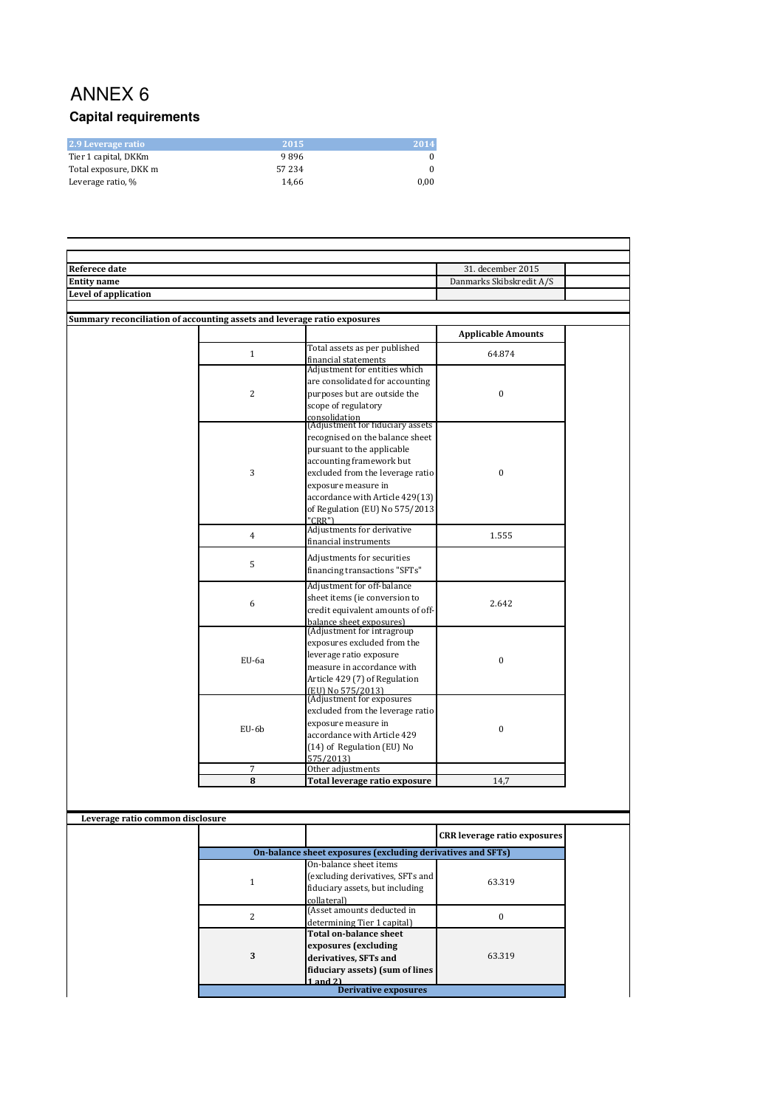## ANNEX 6 **Capital requirements**

| 2.9 Leverage ratio    | 2015   | $\sqrt{2014}$ |
|-----------------------|--------|---------------|
| Tier 1 capital, DKKm  | 9896   |               |
| Total exposure, DKK m | 57 234 |               |
| Leverage ratio, %     | 14.66  | 0.00          |

| <b>Referece date</b>                                                     |                |                                                                    | 31. december 2015                   |  |
|--------------------------------------------------------------------------|----------------|--------------------------------------------------------------------|-------------------------------------|--|
| <b>Entity name</b>                                                       |                |                                                                    | Danmarks Skibskredit A/S            |  |
| Level of application                                                     |                |                                                                    |                                     |  |
|                                                                          |                |                                                                    |                                     |  |
| Summary reconciliation of accounting assets and leverage ratio exposures |                |                                                                    |                                     |  |
|                                                                          |                |                                                                    | <b>Applicable Amounts</b>           |  |
|                                                                          | $\mathbf{1}$   | Total assets as per published                                      | 64.874                              |  |
|                                                                          |                | financial statements<br>Adjustment for entities which              |                                     |  |
|                                                                          |                | are consolidated for accounting                                    |                                     |  |
|                                                                          | $\overline{2}$ | purposes but are outside the                                       | $\boldsymbol{0}$                    |  |
|                                                                          |                | scope of regulatory                                                |                                     |  |
|                                                                          |                |                                                                    |                                     |  |
|                                                                          |                | consolidation<br>(Adjustment for fiduciary assets                  |                                     |  |
|                                                                          |                | recognised on the balance sheet                                    |                                     |  |
|                                                                          |                | pursuant to the applicable                                         |                                     |  |
|                                                                          |                | accounting framework but                                           |                                     |  |
|                                                                          | 3              | excluded from the leverage ratio                                   | $\mathbf{0}$                        |  |
|                                                                          |                | exposure measure in                                                |                                     |  |
|                                                                          |                | accordance with Article 429(13)<br>of Regulation (EU) No 575/2013  |                                     |  |
|                                                                          |                | "CRR")                                                             |                                     |  |
|                                                                          |                | Adjustments for derivative                                         |                                     |  |
|                                                                          | $\overline{4}$ | financial instruments                                              | 1.555                               |  |
|                                                                          |                | Adjustments for securities                                         |                                     |  |
|                                                                          | 5              | financing transactions "SFTs"                                      |                                     |  |
|                                                                          |                |                                                                    |                                     |  |
|                                                                          |                | Adjustment for off-balance                                         |                                     |  |
|                                                                          | 6              | sheet items (ie conversion to<br>credit equivalent amounts of off- | 2.642                               |  |
|                                                                          |                | balance sheet exposures)                                           |                                     |  |
|                                                                          |                | (Adjustment for intragroup                                         |                                     |  |
|                                                                          |                | exposures excluded from the                                        |                                     |  |
|                                                                          |                | leverage ratio exposure                                            | $\mathbf{0}$                        |  |
|                                                                          | EU-6a          | measure in accordance with                                         |                                     |  |
|                                                                          |                | Article 429 (7) of Regulation                                      |                                     |  |
|                                                                          |                | (EU) No 575/2013)                                                  |                                     |  |
|                                                                          |                | (Adjustment for exposures<br>excluded from the leverage ratio      |                                     |  |
|                                                                          |                | exposure measure in                                                |                                     |  |
|                                                                          | EU-6b          | accordance with Article 429                                        | $\boldsymbol{0}$                    |  |
|                                                                          |                | (14) of Regulation (EU) No                                         |                                     |  |
|                                                                          |                | 575/2013)                                                          |                                     |  |
|                                                                          | $\overline{7}$ | Other adjustments                                                  |                                     |  |
|                                                                          | 8              | Total leverage ratio exposure                                      | 14,7                                |  |
|                                                                          |                |                                                                    |                                     |  |
|                                                                          |                |                                                                    |                                     |  |
| Leverage ratio common disclosure                                         |                |                                                                    |                                     |  |
|                                                                          |                |                                                                    | <b>CRR</b> leverage ratio exposures |  |
|                                                                          |                | On-balance sheet exposures (excluding derivatives and SFTs)        |                                     |  |
|                                                                          |                | On-balance sheet items                                             |                                     |  |
|                                                                          |                | (excluding derivatives, SFTs and                                   |                                     |  |
|                                                                          | $\mathbf{1}$   | fiduciary assets, but including                                    | 63.319                              |  |
|                                                                          |                | collateral)                                                        |                                     |  |
|                                                                          | $\overline{2}$ | (Asset amounts deducted in                                         | $\boldsymbol{0}$                    |  |
|                                                                          |                | determining Tier 1 capital)                                        |                                     |  |
|                                                                          |                | <b>Total on-balance sheet</b>                                      |                                     |  |
|                                                                          |                | exposures (excluding                                               |                                     |  |
|                                                                          | 3              | derivatives, SFTs and                                              | 63.319                              |  |
|                                                                          |                | fiduciary assets) (sum of lines                                    |                                     |  |
|                                                                          |                | $1$ and $21$<br><b>Derivative exposures</b>                        |                                     |  |
|                                                                          |                |                                                                    |                                     |  |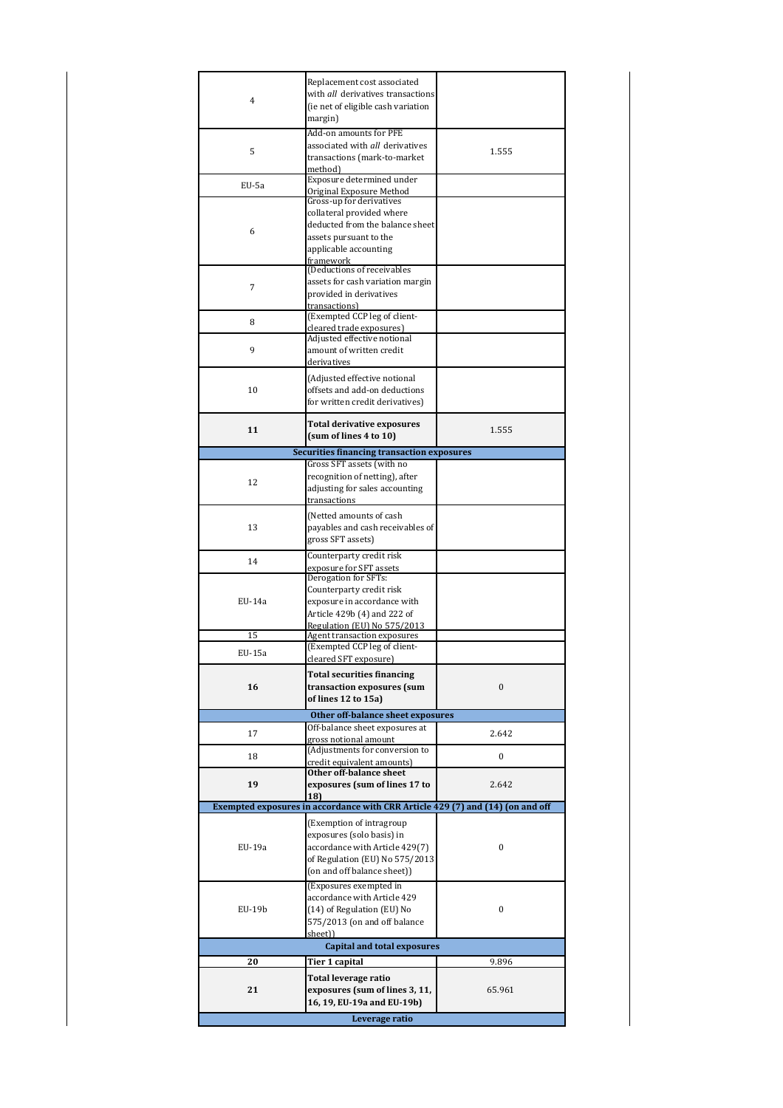|        | Replacement cost associated                                                    |                  |
|--------|--------------------------------------------------------------------------------|------------------|
| 4      | with all derivatives transactions                                              |                  |
|        | (ie net of eligible cash variation                                             |                  |
|        | margin)                                                                        |                  |
|        |                                                                                |                  |
|        | Add-on amounts for PFE                                                         |                  |
| 5      | associated with all derivatives                                                | 1.555            |
|        | transactions (mark-to-market                                                   |                  |
|        | method)                                                                        |                  |
|        | Exposure determined under                                                      |                  |
| EU-5a  | Original Exposure Method                                                       |                  |
|        | Gross-up for derivatives                                                       |                  |
|        | collateral provided where                                                      |                  |
|        | deducted from the balance sheet                                                |                  |
| 6      |                                                                                |                  |
|        | assets pursuant to the                                                         |                  |
|        | applicable accounting                                                          |                  |
|        | framework                                                                      |                  |
|        | (Deductions of receivables                                                     |                  |
| 7      | assets for cash variation margin                                               |                  |
|        | provided in derivatives                                                        |                  |
|        | transactions)                                                                  |                  |
|        | (Exempted CCP leg of client-                                                   |                  |
| 8      | cleared trade exposures)                                                       |                  |
|        | Adjusted effective notional                                                    |                  |
|        |                                                                                |                  |
| 9      | amount of written credit                                                       |                  |
|        | derivatives                                                                    |                  |
|        | (Adjusted effective notional                                                   |                  |
| 10     | offsets and add-on deductions                                                  |                  |
|        |                                                                                |                  |
|        | for written credit derivatives)                                                |                  |
|        |                                                                                |                  |
| 11     | Total derivative exposures                                                     | 1.555            |
|        | (sum of lines 4 to 10)                                                         |                  |
|        | Securities financing transaction exposures                                     |                  |
|        | Gross SFT assets (with no                                                      |                  |
|        | recognition of netting), after                                                 |                  |
| 12     |                                                                                |                  |
|        | adjusting for sales accounting                                                 |                  |
|        | transactions                                                                   |                  |
|        | (Netted amounts of cash                                                        |                  |
| 13     | payables and cash receivables of                                               |                  |
|        |                                                                                |                  |
|        | gross SFT assets)                                                              |                  |
|        | Counterparty credit risk                                                       |                  |
| 14     | exposure for SFT assets                                                        |                  |
|        | Derogation for SFTs:                                                           |                  |
|        |                                                                                |                  |
|        | Counterparty credit risk                                                       |                  |
| EU-14a | exposure in accordance with                                                    |                  |
|        | Article 429b (4) and 222 of                                                    |                  |
|        | Regulation (EU) No 575/2013                                                    |                  |
| 15     | Agent transaction exposures                                                    |                  |
|        | (Exempted CCP leg of client-                                                   |                  |
| EU-15a | cleared SFT exposure) =                                                        |                  |
|        |                                                                                |                  |
|        | <b>Total securities financing</b>                                              |                  |
| 16     | transaction exposures (sum                                                     | $\mathbf{0}$     |
|        | of lines 12 to 15a)                                                            |                  |
|        |                                                                                |                  |
|        | Other off-balance sheet exposures                                              |                  |
| 17     | Off-balance sheet exposures at                                                 | 2.642            |
|        | gross notional amount                                                          |                  |
|        | (Adjustments for conversion to                                                 |                  |
|        |                                                                                | 0                |
| 18     |                                                                                |                  |
|        | credit equivalent amounts)                                                     |                  |
|        | Other off-balance sheet                                                        |                  |
| 19     | exposures (sum of lines 17 to                                                  | 2.642            |
|        | 18)                                                                            |                  |
|        | Exempted exposures in accordance with CRR Article 429 (7) and (14) (on and off |                  |
|        | (Exemption of intragroup)                                                      |                  |
|        |                                                                                |                  |
|        | exposures (solo basis) in                                                      |                  |
| EU-19a | accordance with Article 429(7)                                                 | $\boldsymbol{0}$ |
|        | of Regulation (EU) No 575/2013                                                 |                  |
|        | (on and off balance sheet))                                                    |                  |
|        |                                                                                |                  |
|        | (Exposures exempted in                                                         |                  |
|        | accordance with Article 429                                                    |                  |
| EU-19b | (14) of Regulation (EU) No                                                     | 0                |
|        | 575/2013 (on and off balance                                                   |                  |
|        | sheet))                                                                        |                  |
|        |                                                                                |                  |
|        | <b>Capital and total exposures</b>                                             |                  |
| 20     | <u>Tier 1 capital</u>                                                          | 9.896            |
|        |                                                                                |                  |
|        | Total leverage ratio                                                           |                  |
| 21     | exposures (sum of lines 3, 11,<br>16, 19, EU-19a and EU-19b)                   | 65.961           |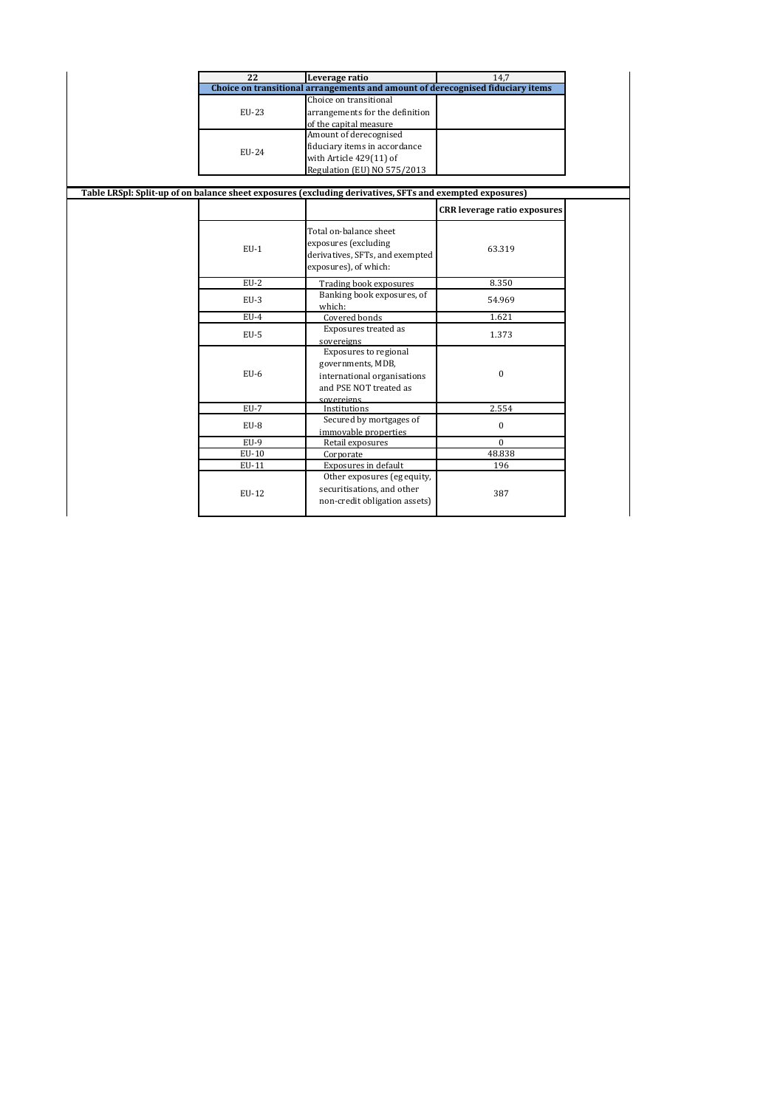| $\overline{22}$ | Leverage ratio                                                                                                    | 14.7                                |
|-----------------|-------------------------------------------------------------------------------------------------------------------|-------------------------------------|
|                 | Choice on transitional arrangements and amount of derecognised fiduciary items                                    |                                     |
|                 | Choice on transitional                                                                                            |                                     |
| EU-23           | arrangements for the definition                                                                                   |                                     |
|                 | of the capital measure                                                                                            |                                     |
|                 | Amount of derecognised                                                                                            |                                     |
|                 | fiduciary items in accordance                                                                                     |                                     |
| EU-24           | with Article 429(11) of                                                                                           |                                     |
|                 | Regulation (EU) NO 575/2013                                                                                       |                                     |
|                 |                                                                                                                   |                                     |
|                 | Table LRSpl: Split-up of on balance sheet exposures (excluding derivatives, SFTs and exempted exposures)          |                                     |
|                 |                                                                                                                   | <b>CRR</b> leverage ratio exposures |
| $EU-1$          | Total on-balance sheet<br>exposures (excluding<br>derivatives, SFTs, and exempted<br>exposures), of which:        | 63.319                              |
| $EU-2$          | Trading book exposures                                                                                            | 8.350                               |
| $EU-3$          | Banking book exposures, of<br>which:                                                                              | 54.969                              |
| $EU-4$          | Covered bonds                                                                                                     | 1.621                               |
| $EU-5$          | Exposures treated as<br>sovereigns                                                                                | 1.373                               |
| $EU-6$          | Exposures to regional<br>governments, MDB,<br>international organisations<br>and PSE NOT treated as<br>sovereigns | $\mathbf{0}$                        |
| $EU-7$          | Institutions                                                                                                      | 2.554                               |
| $EU-8$          | Secured by mortgages of<br>immovable properties                                                                   | $\mathbf{0}$                        |
| $EU-9$          | Retail exposures                                                                                                  | $\Omega$                            |
| $EU-10$         | Corporate                                                                                                         | 48.838                              |
| EU-11           | Exposures in default                                                                                              | 196                                 |
| EU-12           | Other exposures (eg equity,<br>securitisations, and other<br>non-credit obligation assets)                        | 387                                 |